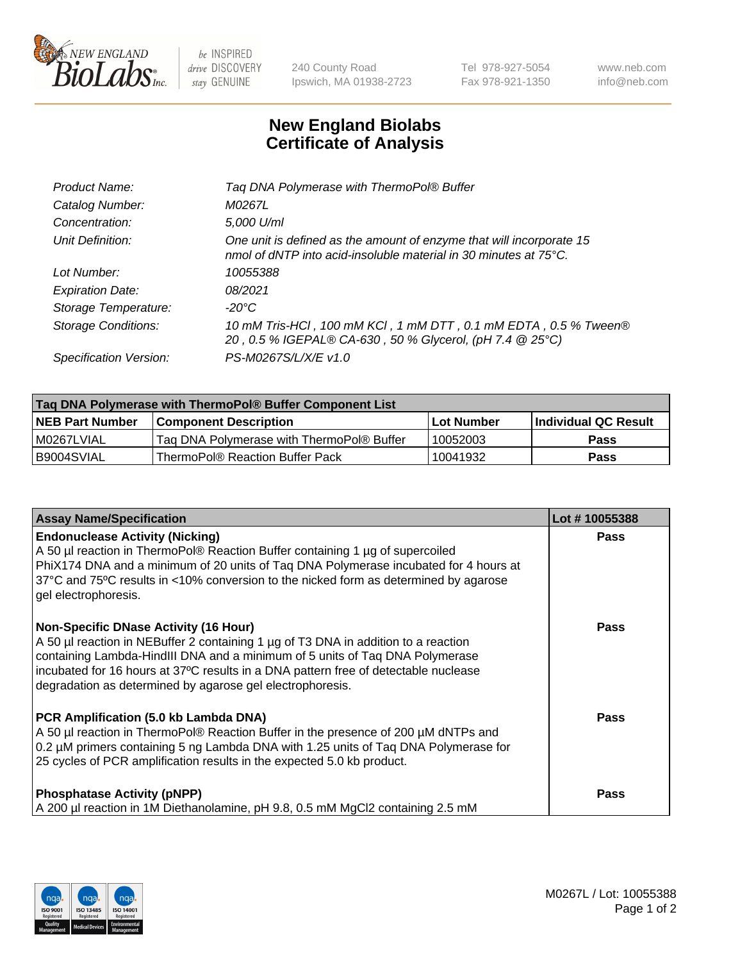

 $be$  INSPIRED drive DISCOVERY stay GENUINE

240 County Road Ipswich, MA 01938-2723 Tel 978-927-5054 Fax 978-921-1350 www.neb.com info@neb.com

## **New England Biolabs Certificate of Analysis**

| 10 mM Tris-HCl, 100 mM KCl, 1 mM DTT, 0.1 mM EDTA, 0.5 % Tween® |
|-----------------------------------------------------------------|
|                                                                 |
|                                                                 |

| Taq DNA Polymerase with ThermoPol® Buffer Component List |                                           |                   |                      |  |
|----------------------------------------------------------|-------------------------------------------|-------------------|----------------------|--|
| <b>NEB Part Number</b>                                   | <b>Component Description</b>              | <b>Lot Number</b> | Individual QC Result |  |
| I M0267LVIAL                                             | Taq DNA Polymerase with ThermoPol® Buffer | 10052003          | <b>Pass</b>          |  |
| I B9004SVIAL                                             | ThermoPol® Reaction Buffer Pack           | 10041932          | Pass                 |  |

| <b>Assay Name/Specification</b>                                                                                                                                                                                                                                                                                                                                        | Lot #10055388 |
|------------------------------------------------------------------------------------------------------------------------------------------------------------------------------------------------------------------------------------------------------------------------------------------------------------------------------------------------------------------------|---------------|
| <b>Endonuclease Activity (Nicking)</b><br>A 50 µl reaction in ThermoPol® Reaction Buffer containing 1 µg of supercoiled<br>PhiX174 DNA and a minimum of 20 units of Taq DNA Polymerase incubated for 4 hours at<br>37°C and 75°C results in <10% conversion to the nicked form as determined by agarose<br>gel electrophoresis.                                        | <b>Pass</b>   |
| <b>Non-Specific DNase Activity (16 Hour)</b><br>A 50 µl reaction in NEBuffer 2 containing 1 µg of T3 DNA in addition to a reaction<br>containing Lambda-HindIII DNA and a minimum of 5 units of Taq DNA Polymerase<br>incubated for 16 hours at 37°C results in a DNA pattern free of detectable nuclease<br>degradation as determined by agarose gel electrophoresis. | Pass          |
| PCR Amplification (5.0 kb Lambda DNA)<br>A 50 µl reaction in ThermoPol® Reaction Buffer in the presence of 200 µM dNTPs and<br>0.2 µM primers containing 5 ng Lambda DNA with 1.25 units of Taq DNA Polymerase for<br>25 cycles of PCR amplification results in the expected 5.0 kb product.                                                                           | Pass          |
| <b>Phosphatase Activity (pNPP)</b><br>A 200 µl reaction in 1M Diethanolamine, pH 9.8, 0.5 mM MgCl2 containing 2.5 mM                                                                                                                                                                                                                                                   | Pass          |